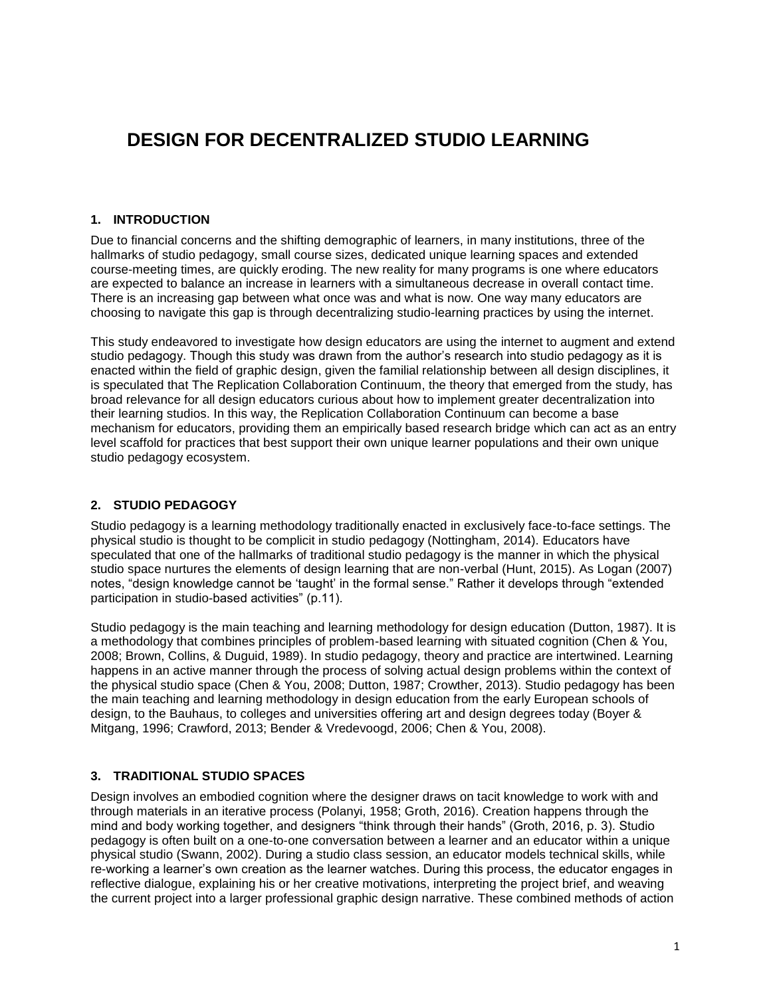# **DESIGN FOR DECENTRALIZED STUDIO LEARNING**

#### **1. INTRODUCTION**

Due to financial concerns and the shifting demographic of learners, in many institutions, three of the hallmarks of studio pedagogy, small course sizes, dedicated unique learning spaces and extended course-meeting times, are quickly eroding. The new reality for many programs is one where educators are expected to balance an increase in learners with a simultaneous decrease in overall contact time. There is an increasing gap between what once was and what is now. One way many educators are choosing to navigate this gap is through decentralizing studio-learning practices by using the internet.

This study endeavored to investigate how design educators are using the internet to augment and extend studio pedagogy. Though this study was drawn from the author's research into studio pedagogy as it is enacted within the field of graphic design, given the familial relationship between all design disciplines, it is speculated that The Replication Collaboration Continuum, the theory that emerged from the study, has broad relevance for all design educators curious about how to implement greater decentralization into their learning studios. In this way, the Replication Collaboration Continuum can become a base mechanism for educators, providing them an empirically based research bridge which can act as an entry level scaffold for practices that best support their own unique learner populations and their own unique studio pedagogy ecosystem.

# **2. STUDIO PEDAGOGY**

Studio pedagogy is a learning methodology traditionally enacted in exclusively face-to-face settings. The physical studio is thought to be complicit in studio pedagogy (Nottingham, 2014). Educators have speculated that one of the hallmarks of traditional studio pedagogy is the manner in which the physical studio space nurtures the elements of design learning that are non-verbal (Hunt, 2015). As Logan (2007) notes, "design knowledge cannot be 'taught' in the formal sense." Rather it develops through "extended participation in studio-based activities" (p.11).

Studio pedagogy is the main teaching and learning methodology for design education (Dutton, 1987). It is a methodology that combines principles of problem-based learning with situated cognition (Chen & You, 2008; Brown, Collins, & Duguid, 1989). In studio pedagogy, theory and practice are intertwined. Learning happens in an active manner through the process of solving actual design problems within the context of the physical studio space (Chen & You, 2008; Dutton, 1987; Crowther, 2013). Studio pedagogy has been the main teaching and learning methodology in design education from the early European schools of design, to the Bauhaus, to colleges and universities offering art and design degrees today (Boyer & Mitgang, 1996; Crawford, 2013; Bender & Vredevoogd, 2006; Chen & You, 2008).

# **3. TRADITIONAL STUDIO SPACES**

Design involves an embodied cognition where the designer draws on tacit knowledge to work with and through materials in an iterative process (Polanyi, 1958; Groth, 2016). Creation happens through the mind and body working together, and designers "think through their hands" (Groth, 2016, p. 3). Studio pedagogy is often built on a one-to-one conversation between a learner and an educator within a unique physical studio (Swann, 2002). During a studio class session, an educator models technical skills, while re-working a learner's own creation as the learner watches. During this process, the educator engages in reflective dialogue, explaining his or her creative motivations, interpreting the project brief, and weaving the current project into a larger professional graphic design narrative. These combined methods of action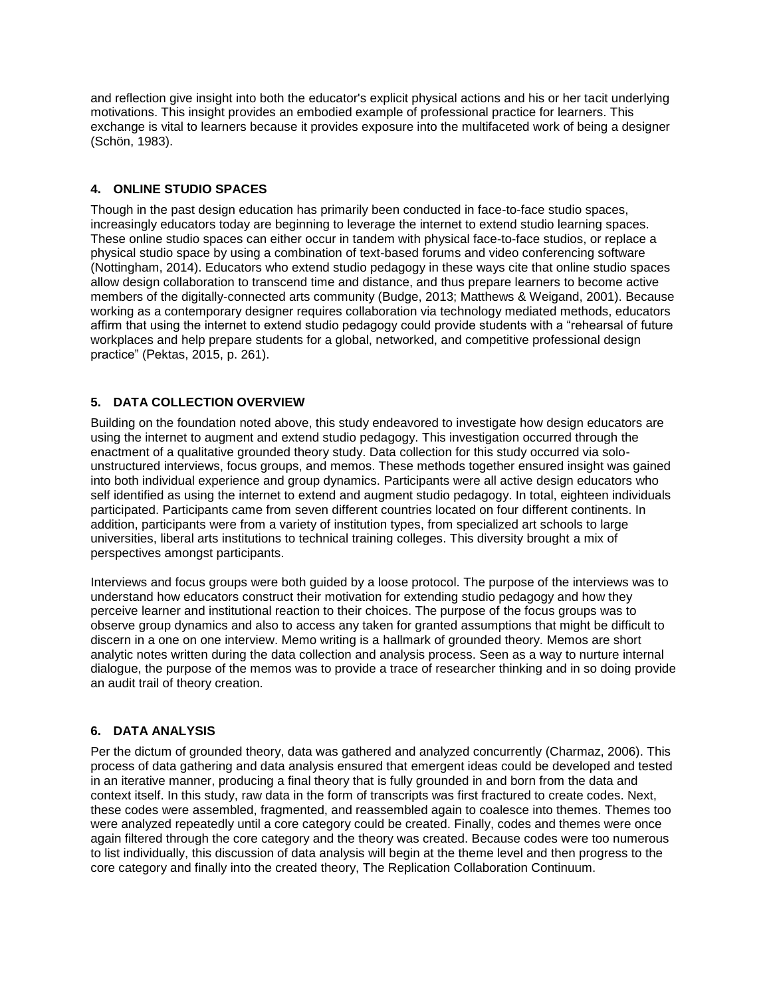and reflection give insight into both the educator's explicit physical actions and his or her tacit underlying motivations. This insight provides an embodied example of professional practice for learners. This exchange is vital to learners because it provides exposure into the multifaceted work of being a designer (Schön, 1983).

# **4. ONLINE STUDIO SPACES**

Though in the past design education has primarily been conducted in face-to-face studio spaces, increasingly educators today are beginning to leverage the internet to extend studio learning spaces. These online studio spaces can either occur in tandem with physical face-to-face studios, or replace a physical studio space by using a combination of text-based forums and video conferencing software (Nottingham, 2014). Educators who extend studio pedagogy in these ways cite that online studio spaces allow design collaboration to transcend time and distance, and thus prepare learners to become active members of the digitally-connected arts community (Budge, 2013; Matthews & Weigand, 2001). Because working as a contemporary designer requires collaboration via technology mediated methods, educators affirm that using the internet to extend studio pedagogy could provide students with a "rehearsal of future workplaces and help prepare students for a global, networked, and competitive professional design practice" (Pektas, 2015, p. 261).

# **5. DATA COLLECTION OVERVIEW**

Building on the foundation noted above, this study endeavored to investigate how design educators are using the internet to augment and extend studio pedagogy. This investigation occurred through the enactment of a qualitative grounded theory study. Data collection for this study occurred via solounstructured interviews, focus groups, and memos. These methods together ensured insight was gained into both individual experience and group dynamics. Participants were all active design educators who self identified as using the internet to extend and augment studio pedagogy. In total, eighteen individuals participated. Participants came from seven different countries located on four different continents. In addition, participants were from a variety of institution types, from specialized art schools to large universities, liberal arts institutions to technical training colleges. This diversity brought a mix of perspectives amongst participants.

Interviews and focus groups were both guided by a loose protocol. The purpose of the interviews was to understand how educators construct their motivation for extending studio pedagogy and how they perceive learner and institutional reaction to their choices. The purpose of the focus groups was to observe group dynamics and also to access any taken for granted assumptions that might be difficult to discern in a one on one interview. Memo writing is a hallmark of grounded theory. Memos are short analytic notes written during the data collection and analysis process. Seen as a way to nurture internal dialogue, the purpose of the memos was to provide a trace of researcher thinking and in so doing provide an audit trail of theory creation.

# **6. DATA ANALYSIS**

Per the dictum of grounded theory, data was gathered and analyzed concurrently (Charmaz, 2006). This process of data gathering and data analysis ensured that emergent ideas could be developed and tested in an iterative manner, producing a final theory that is fully grounded in and born from the data and context itself. In this study, raw data in the form of transcripts was first fractured to create codes. Next, these codes were assembled, fragmented, and reassembled again to coalesce into themes. Themes too were analyzed repeatedly until a core category could be created. Finally, codes and themes were once again filtered through the core category and the theory was created. Because codes were too numerous to list individually, this discussion of data analysis will begin at the theme level and then progress to the core category and finally into the created theory, The Replication Collaboration Continuum.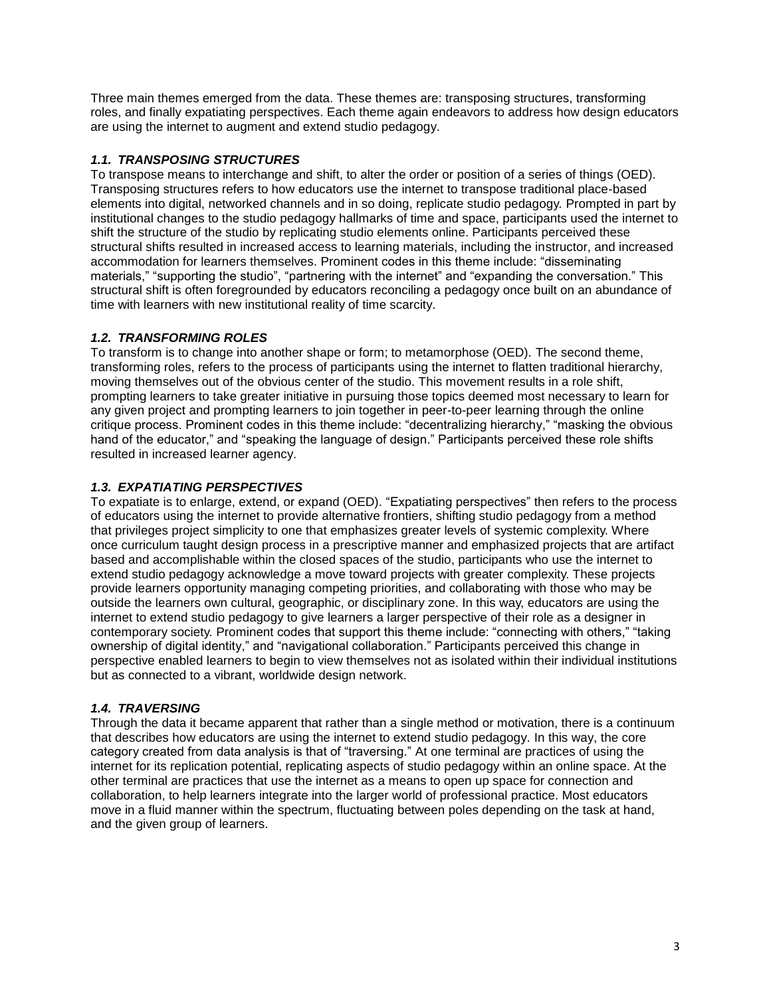Three main themes emerged from the data. These themes are: transposing structures, transforming roles, and finally expatiating perspectives. Each theme again endeavors to address how design educators are using the internet to augment and extend studio pedagogy.

# *1.1. TRANSPOSING STRUCTURES*

To transpose means to interchange and shift, to alter the order or position of a series of things (OED). Transposing structures refers to how educators use the internet to transpose traditional place-based elements into digital, networked channels and in so doing, replicate studio pedagogy. Prompted in part by institutional changes to the studio pedagogy hallmarks of time and space, participants used the internet to shift the structure of the studio by replicating studio elements online. Participants perceived these structural shifts resulted in increased access to learning materials, including the instructor, and increased accommodation for learners themselves. Prominent codes in this theme include: "disseminating materials," "supporting the studio", "partnering with the internet" and "expanding the conversation." This structural shift is often foregrounded by educators reconciling a pedagogy once built on an abundance of time with learners with new institutional reality of time scarcity.

# *1.2. TRANSFORMING ROLES*

To transform is to change into another shape or form; to metamorphose (OED). The second theme, transforming roles, refers to the process of participants using the internet to flatten traditional hierarchy, moving themselves out of the obvious center of the studio. This movement results in a role shift, prompting learners to take greater initiative in pursuing those topics deemed most necessary to learn for any given project and prompting learners to join together in peer-to-peer learning through the online critique process. Prominent codes in this theme include: "decentralizing hierarchy," "masking the obvious hand of the educator," and "speaking the language of design." Participants perceived these role shifts resulted in increased learner agency.

# *1.3. EXPATIATING PERSPECTIVES*

To expatiate is to enlarge, extend, or expand (OED). "Expatiating perspectives" then refers to the process of educators using the internet to provide alternative frontiers, shifting studio pedagogy from a method that privileges project simplicity to one that emphasizes greater levels of systemic complexity. Where once curriculum taught design process in a prescriptive manner and emphasized projects that are artifact based and accomplishable within the closed spaces of the studio, participants who use the internet to extend studio pedagogy acknowledge a move toward projects with greater complexity. These projects provide learners opportunity managing competing priorities, and collaborating with those who may be outside the learners own cultural, geographic, or disciplinary zone. In this way, educators are using the internet to extend studio pedagogy to give learners a larger perspective of their role as a designer in contemporary society. Prominent codes that support this theme include: "connecting with others," "taking ownership of digital identity," and "navigational collaboration." Participants perceived this change in perspective enabled learners to begin to view themselves not as isolated within their individual institutions but as connected to a vibrant, worldwide design network.

# *1.4. TRAVERSING*

Through the data it became apparent that rather than a single method or motivation, there is a continuum that describes how educators are using the internet to extend studio pedagogy. In this way, the core category created from data analysis is that of "traversing." At one terminal are practices of using the internet for its replication potential, replicating aspects of studio pedagogy within an online space. At the other terminal are practices that use the internet as a means to open up space for connection and collaboration, to help learners integrate into the larger world of professional practice. Most educators move in a fluid manner within the spectrum, fluctuating between poles depending on the task at hand, and the given group of learners.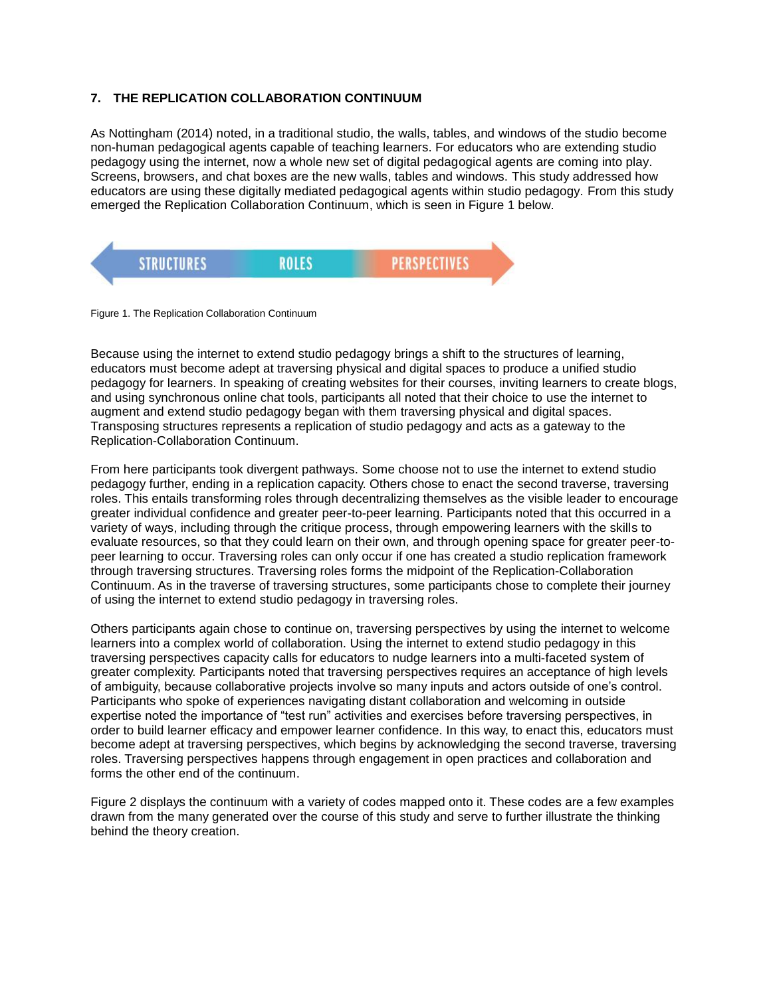# **7. THE REPLICATION COLLABORATION CONTINUUM**

As Nottingham (2014) noted, in a traditional studio, the walls, tables, and windows of the studio become non-human pedagogical agents capable of teaching learners. For educators who are extending studio pedagogy using the internet, now a whole new set of digital pedagogical agents are coming into play. Screens, browsers, and chat boxes are the new walls, tables and windows. This study addressed how educators are using these digitally mediated pedagogical agents within studio pedagogy. From this study emerged the Replication Collaboration Continuum, which is seen in Figure 1 below.



Figure 1. The Replication Collaboration Continuum

Because using the internet to extend studio pedagogy brings a shift to the structures of learning, educators must become adept at traversing physical and digital spaces to produce a unified studio pedagogy for learners. In speaking of creating websites for their courses, inviting learners to create blogs, and using synchronous online chat tools, participants all noted that their choice to use the internet to augment and extend studio pedagogy began with them traversing physical and digital spaces. Transposing structures represents a replication of studio pedagogy and acts as a gateway to the Replication-Collaboration Continuum.

From here participants took divergent pathways. Some choose not to use the internet to extend studio pedagogy further, ending in a replication capacity. Others chose to enact the second traverse, traversing roles. This entails transforming roles through decentralizing themselves as the visible leader to encourage greater individual confidence and greater peer-to-peer learning. Participants noted that this occurred in a variety of ways, including through the critique process, through empowering learners with the skills to evaluate resources, so that they could learn on their own, and through opening space for greater peer-topeer learning to occur. Traversing roles can only occur if one has created a studio replication framework through traversing structures. Traversing roles forms the midpoint of the Replication-Collaboration Continuum. As in the traverse of traversing structures, some participants chose to complete their journey of using the internet to extend studio pedagogy in traversing roles.

Others participants again chose to continue on, traversing perspectives by using the internet to welcome learners into a complex world of collaboration. Using the internet to extend studio pedagogy in this traversing perspectives capacity calls for educators to nudge learners into a multi-faceted system of greater complexity. Participants noted that traversing perspectives requires an acceptance of high levels of ambiguity, because collaborative projects involve so many inputs and actors outside of one's control. Participants who spoke of experiences navigating distant collaboration and welcoming in outside expertise noted the importance of "test run" activities and exercises before traversing perspectives, in order to build learner efficacy and empower learner confidence. In this way, to enact this, educators must become adept at traversing perspectives, which begins by acknowledging the second traverse, traversing roles. Traversing perspectives happens through engagement in open practices and collaboration and forms the other end of the continuum.

Figure 2 displays the continuum with a variety of codes mapped onto it. These codes are a few examples drawn from the many generated over the course of this study and serve to further illustrate the thinking behind the theory creation.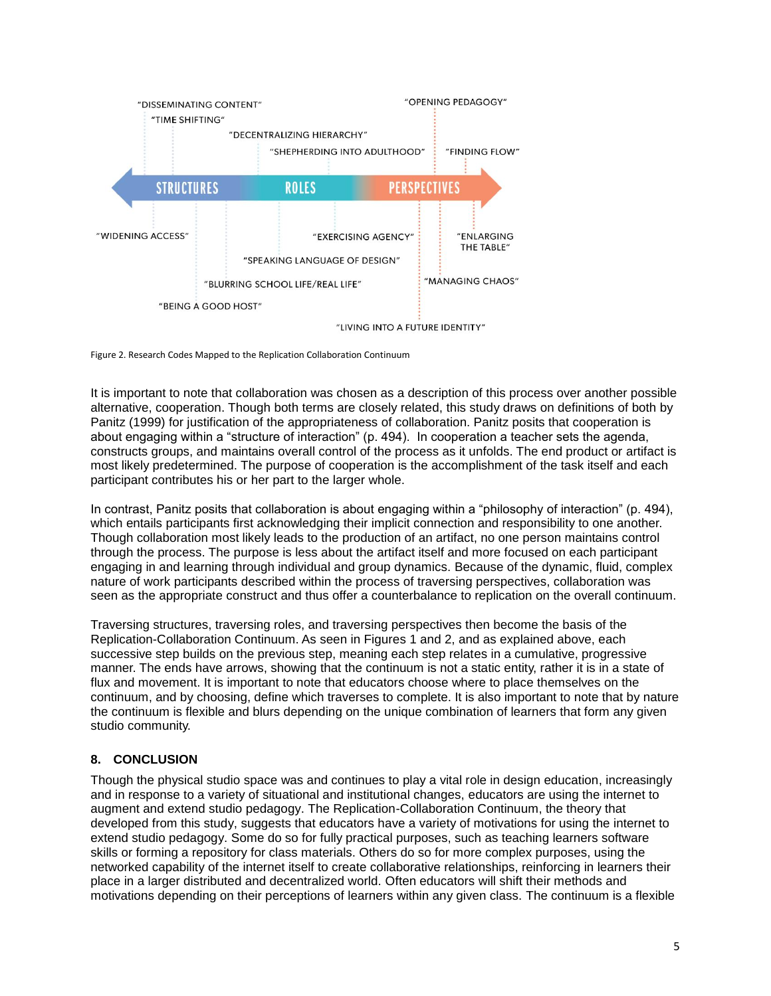

Figure 2. Research Codes Mapped to the Replication Collaboration Continuum

It is important to note that collaboration was chosen as a description of this process over another possible alternative, cooperation. Though both terms are closely related, this study draws on definitions of both by Panitz (1999) for justification of the appropriateness of collaboration. Panitz posits that cooperation is about engaging within a "structure of interaction" (p. 494). In cooperation a teacher sets the agenda, constructs groups, and maintains overall control of the process as it unfolds. The end product or artifact is most likely predetermined. The purpose of cooperation is the accomplishment of the task itself and each participant contributes his or her part to the larger whole.

In contrast, Panitz posits that collaboration is about engaging within a "philosophy of interaction" (p. 494), which entails participants first acknowledging their implicit connection and responsibility to one another. Though collaboration most likely leads to the production of an artifact, no one person maintains control through the process. The purpose is less about the artifact itself and more focused on each participant engaging in and learning through individual and group dynamics. Because of the dynamic, fluid, complex nature of work participants described within the process of traversing perspectives, collaboration was seen as the appropriate construct and thus offer a counterbalance to replication on the overall continuum.

Traversing structures, traversing roles, and traversing perspectives then become the basis of the Replication-Collaboration Continuum. As seen in Figures 1 and 2, and as explained above, each successive step builds on the previous step, meaning each step relates in a cumulative, progressive manner. The ends have arrows, showing that the continuum is not a static entity, rather it is in a state of flux and movement. It is important to note that educators choose where to place themselves on the continuum, and by choosing, define which traverses to complete. It is also important to note that by nature the continuum is flexible and blurs depending on the unique combination of learners that form any given studio community.

#### **8. CONCLUSION**

Though the physical studio space was and continues to play a vital role in design education, increasingly and in response to a variety of situational and institutional changes, educators are using the internet to augment and extend studio pedagogy. The Replication-Collaboration Continuum, the theory that developed from this study, suggests that educators have a variety of motivations for using the internet to extend studio pedagogy. Some do so for fully practical purposes, such as teaching learners software skills or forming a repository for class materials. Others do so for more complex purposes, using the networked capability of the internet itself to create collaborative relationships, reinforcing in learners their place in a larger distributed and decentralized world. Often educators will shift their methods and motivations depending on their perceptions of learners within any given class. The continuum is a flexible